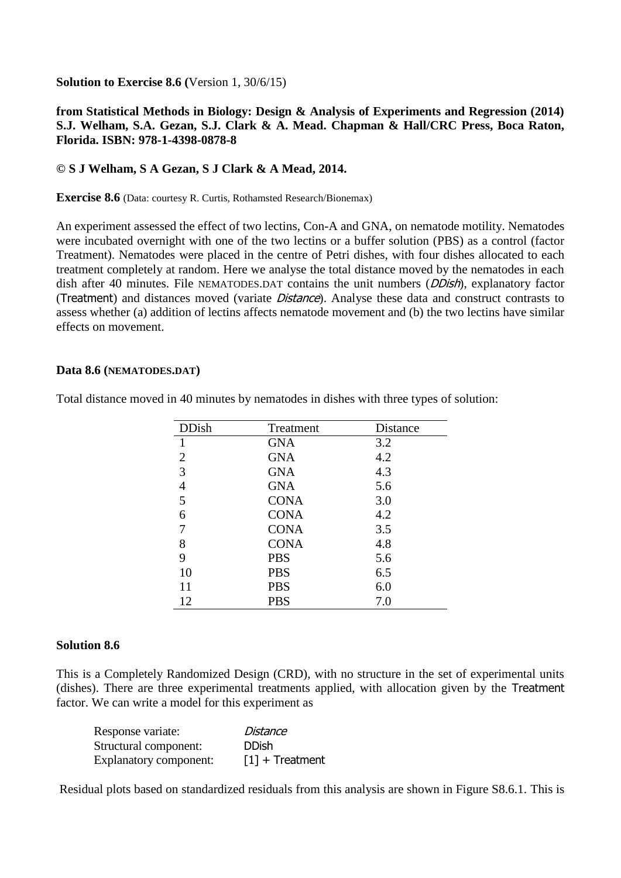**Solution to Exercise 8.6 (**Version 1, 30/6/15)

## **from Statistical Methods in Biology: Design & Analysis of Experiments and Regression (2014) S.J. Welham, S.A. Gezan, S.J. Clark & A. Mead. Chapman & Hall/CRC Press, Boca Raton, Florida. ISBN: 978-1-4398-0878-8**

## **© S J Welham, S A Gezan, S J Clark & A Mead, 2014.**

**Exercise 8.6** (Data: courtesy R. Curtis, Rothamsted Research/Bionemax)

An experiment assessed the effect of two lectins, Con-A and GNA, on nematode motility. Nematodes were incubated overnight with one of the two lectins or a buffer solution (PBS) as a control (factor Treatment). Nematodes were placed in the centre of Petri dishes, with four dishes allocated to each treatment completely at random. Here we analyse the total distance moved by the nematodes in each dish after 40 minutes. File NEMATODES.DAT contains the unit numbers (*DDish*), explanatory factor (Treatment) and distances moved (variate Distance). Analyse these data and construct contrasts to assess whether (a) addition of lectins affects nematode movement and (b) the two lectins have similar effects on movement.

## **Data 8.6 (NEMATODES.DAT)**

| <b>DDish</b>   | Treatment   | Distance |
|----------------|-------------|----------|
| 1              | <b>GNA</b>  | 3.2      |
| $\overline{2}$ | <b>GNA</b>  | 4.2      |
| 3              | <b>GNA</b>  | 4.3      |
| $\overline{4}$ | <b>GNA</b>  | 5.6      |
| 5              | <b>CONA</b> | 3.0      |
| 6              | <b>CONA</b> | 4.2      |
| 7              | <b>CONA</b> | 3.5      |
| 8              | <b>CONA</b> | 4.8      |
| 9              | <b>PBS</b>  | 5.6      |
| 10             | <b>PBS</b>  | 6.5      |
| 11             | <b>PBS</b>  | 6.0      |
| 12             | <b>PBS</b>  | 7.0      |

Total distance moved in 40 minutes by nematodes in dishes with three types of solution:

## **Solution 8.6**

This is a Completely Randomized Design (CRD), with no structure in the set of experimental units (dishes). There are three experimental treatments applied, with allocation given by the Treatment factor. We can write a model for this experiment as

| Response variate:             | Distance                      |
|-------------------------------|-------------------------------|
| Structural component:         | <b>DDish</b>                  |
| <b>Explanatory component:</b> | $\lceil 1 \rceil$ + Treatment |

Residual plots based on standardized residuals from this analysis are shown in Figure S8.6.1. This is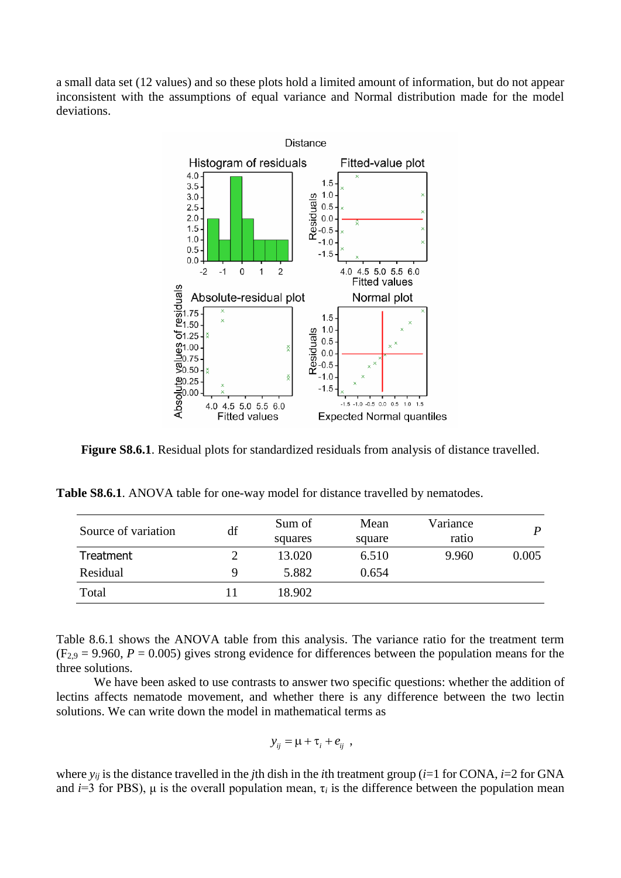a small data set (12 values) and so these plots hold a limited amount of information, but do not appear inconsistent with the assumptions of equal variance and Normal distribution made for the model deviations.



**Figure S8.6.1**. Residual plots for standardized residuals from analysis of distance travelled.

| <b>Table S8.6.1.</b> ANOVA table for one-way model for distance travelled by nematodes. |
|-----------------------------------------------------------------------------------------|
|-----------------------------------------------------------------------------------------|

| Source of variation | df | Sum of  | Mean   | Variance | P     |
|---------------------|----|---------|--------|----------|-------|
|                     |    | squares | square | ratio    |       |
| Treatment           |    | 13.020  | 6.510  | 9.960    | 0.005 |
| Residual            |    | 5.882   | 0.654  |          |       |
| Total               |    | 18.902  |        |          |       |

Table 8.6.1 shows the ANOVA table from this analysis. The variance ratio for the treatment term  $(F_{2,9} = 9.960, P = 0.005)$  gives strong evidence for differences between the population means for the three solutions.

We have been asked to use contrasts to answer two specific questions: whether the addition of lectins affects nematode movement, and whether there is any difference between the two lectin solutions. We can write down the model in mathematical terms as

$$
y_{ij} = \mu + \tau_i + e_{ij} ,
$$

where  $y_{ij}$  is the distance travelled in the *j*th dish in the *i*th treatment group (*i*=1 for CONA, *i*=2 for GNA and *i*=3 for PBS),  $\mu$  is the overall population mean,  $\tau_i$  is the difference between the population mean